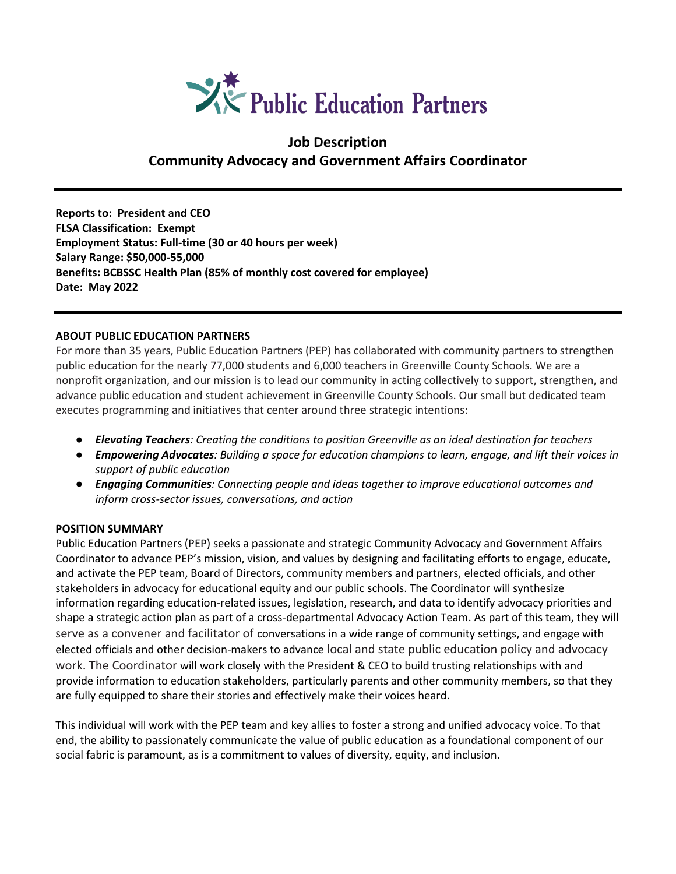

# **Job Description Community Advocacy and Government Affairs Coordinator**

**Reports to: President and CEO FLSA Classification: Exempt Employment Status: Full-time (30 or 40 hours per week) Salary Range: \$50,000-55,000 Benefits: BCBSSC Health Plan (85% of monthly cost covered for employee) Date: May 2022**

#### **ABOUT PUBLIC EDUCATION PARTNERS**

For more than 35 years, Public Education Partners (PEP) has collaborated with community partners to strengthen public education for the nearly 77,000 students and 6,000 teachers in Greenville County Schools. We are a nonprofit organization, and our mission is to lead our community in acting collectively to support, strengthen, and advance public education and student achievement in Greenville County Schools. Our small but dedicated team executes programming and initiatives that center around three strategic intentions:

- *Elevating Teachers: Creating the conditions to position Greenville as an ideal destination for teachers*
- *Empowering Advocates: Building a space for education champions to learn, engage, and lift their voices in support of public education*
- *Engaging Communities: Connecting people and ideas together to improve educational outcomes and inform cross-sector issues, conversations, and action*

## **POSITION SUMMARY**

Public Education Partners (PEP) seeks a passionate and strategic Community Advocacy and Government Affairs Coordinator to advance PEP's mission, vision, and values by designing and facilitating efforts to engage, educate, and activate the PEP team, Board of Directors, community members and partners, elected officials, and other stakeholders in advocacy for educational equity and our public schools. The Coordinator will synthesize information regarding education-related issues, legislation, research, and data to identify advocacy priorities and shape a strategic action plan as part of a cross-departmental Advocacy Action Team. As part of this team, they will serve as a convener and facilitator of conversations in a wide range of community settings, and engage with elected officials and other decision-makers to advance local and state public education policy and advocacy work. The Coordinator will work closely with the President & CEO to build trusting relationships with and provide information to education stakeholders, particularly parents and other community members, so that they are fully equipped to share their stories and effectively make their voices heard.

This individual will work with the PEP team and key allies to foster a strong and unified advocacy voice. To that end, the ability to passionately communicate the value of public education as a foundational component of our social fabric is paramount, as is a commitment to values of diversity, equity, and inclusion.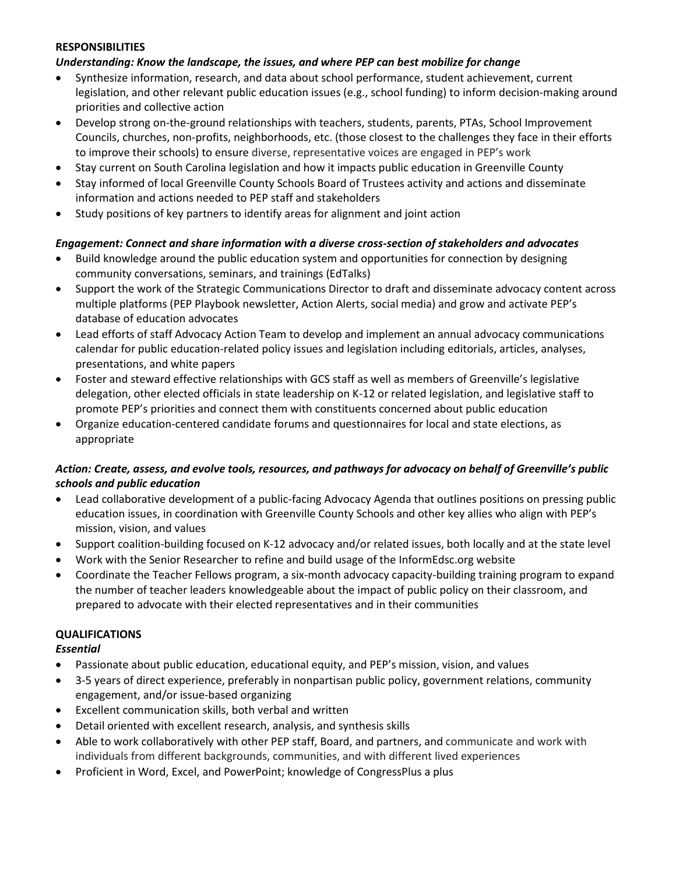#### **RESPONSIBILITIES**

#### *Understanding: Know the landscape, the issues, and where PEP can best mobilize for change*

- Synthesize information, research, and data about school performance, student achievement, current legislation, and other relevant public education issues (e.g., school funding) to inform decision-making around priorities and collective action
- Develop strong on-the-ground relationships with teachers, students, parents, PTAs, School Improvement Councils, churches, non-profits, neighborhoods, etc. (those closest to the challenges they face in their efforts to improve their schools) to ensure diverse, representative voices are engaged in PEP's work
- Stay current on South Carolina legislation and how it impacts public education in Greenville County
- Stay informed of local Greenville County Schools Board of Trustees activity and actions and disseminate information and actions needed to PEP staff and stakeholders
- Study positions of key partners to identify areas for alignment and joint action

## *Engagement: Connect and share information with a diverse cross-section of stakeholders and advocates*

- Build knowledge around the public education system and opportunities for connection by designing community conversations, seminars, and trainings (EdTalks)
- Support the work of the Strategic Communications Director to draft and disseminate advocacy content across multiple platforms (PEP Playbook newsletter, Action Alerts, social media) and grow and activate PEP's database of education advocates
- Lead efforts of staff Advocacy Action Team to develop and implement an annual advocacy communications calendar for public education-related policy issues and legislation including editorials, articles, analyses, presentations, and white papers
- Foster and steward effective relationships with GCS staff as well as members of Greenville's legislative delegation, other elected officials in state leadership on K-12 or related legislation, and legislative staff to promote PEP's priorities and connect them with constituents concerned about public education
- Organize education-centered candidate forums and questionnaires for local and state elections, as appropriate

## *Action: Create, assess, and evolve tools, resources, and pathways for advocacy on behalf of Greenville's public schools and public education*

- Lead collaborative development of a public-facing Advocacy Agenda that outlines positions on pressing public education issues, in coordination with Greenville County Schools and other key allies who align with PEP's mission, vision, and values
- Support coalition-building focused on K-12 advocacy and/or related issues, both locally and at the state level
- Work with the Senior Researcher to refine and build usage of the InformEdsc.org website
- Coordinate the Teacher Fellows program, a six-month advocacy capacity-building training program to expand the number of teacher leaders knowledgeable about the impact of public policy on their classroom, and prepared to advocate with their elected representatives and in their communities

## **QUALIFICATIONS**

*Essential*

- Passionate about public education, educational equity, and PEP's mission, vision, and values
- 3-5 years of direct experience, preferably in nonpartisan public policy, government relations, community engagement, and/or issue-based organizing
- Excellent communication skills, both verbal and written
- Detail oriented with excellent research, analysis, and synthesis skills
- Able to work collaboratively with other PEP staff, Board, and partners, and communicate and work with individuals from different backgrounds, communities, and with different lived experiences
- Proficient in Word, Excel, and PowerPoint; knowledge of CongressPlus a plus